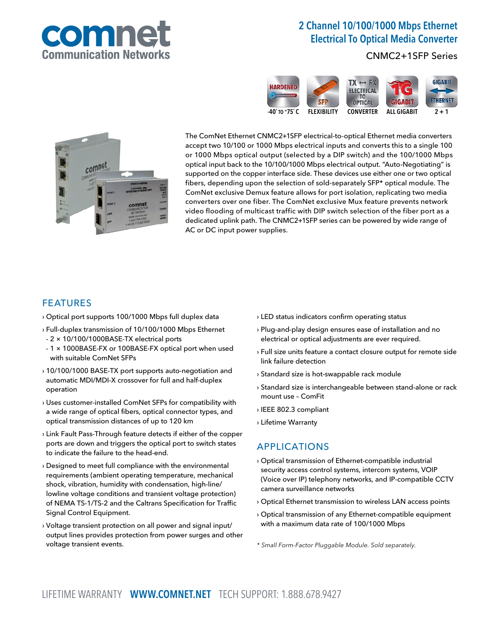

# 2 Channel 10/100/1000 Mbps Ethernet Electrical To Optical Media Converter

CNMC2+1SFP Series





The ComNet Ethernet CNMC2+1SFP electrical-to-optical Ethernet media converters accept two 10/100 or 1000 Mbps electrical inputs and converts this to a single 100 or 1000 Mbps optical output (selected by a DIP switch) and the 100/1000 Mbps optical input back to the 10/100/1000 Mbps electrical output. "Auto-Negotiating" is supported on the copper interface side. These devices use either one or two optical fibers, depending upon the selection of sold-separately SFP\* optical module. The ComNet exclusive Demux feature allows for port isolation, replicating two media converters over one fiber. The ComNet exclusive Mux feature prevents network video flooding of multicast traffic with DIP switch selection of the fiber port as a dedicated uplink path. The CNMC2+1SFP series can be powered by wide range of AC or DC input power supplies.

#### FEATURES

- › Optical port supports 100/1000 Mbps full duplex data
- › Full-duplex transmission of 10/100/1000 Mbps Ethernet
- 2 × 10/100/1000BASE-TX electrical ports
- 1 × 1000BASE-FX or 100BASE-FX optical port when used with suitable ComNet SFPs
- › 10/100/1000 BASE-TX port supports auto-negotiation and automatic MDI/MDI-X crossover for full and half-duplex operation
- › Uses customer-installed ComNet SFPs for compatibility with a wide range of optical fibers, optical connector types, and optical transmission distances of up to 120 km
- › Link Fault Pass-Through feature detects if either of the copper ports are down and triggers the optical port to switch states to indicate the failure to the head-end.
- › Designed to meet full compliance with the environmental requirements (ambient operating temperature, mechanical shock, vibration, humidity with condensation, high-line/ lowline voltage conditions and transient voltage protection) of NEMA TS-1/TS-2 and the Caltrans Specification for Traffic Signal Control Equipment.
- › Voltage transient protection on all power and signal input/ output lines provides protection from power surges and other voltage transient events.
- › LED status indicators confirm operating status
- › Plug-and-play design ensures ease of installation and no electrical or optical adjustments are ever required.
- › Full size units feature a contact closure output for remote side link failure detection
- › Standard size is hot-swappable rack module
- › Standard size is interchangeable between stand-alone or rack mount use – ComFit
- › IEEE 802.3 compliant
- › Lifetime Warranty

### APPLICATIONS

- › Optical transmission of Ethernet-compatible industrial security access control systems, intercom systems, VOIP (Voice over IP) telephony networks, and IP-compatible CCTV camera surveillance networks
- › Optical Ethernet transmission to wireless LAN access points
- › Optical transmission of any Ethernet-compatible equipment with a maximum data rate of 100/1000 Mbps
- \* Small Form-Factor Pluggable Module. Sold separately.